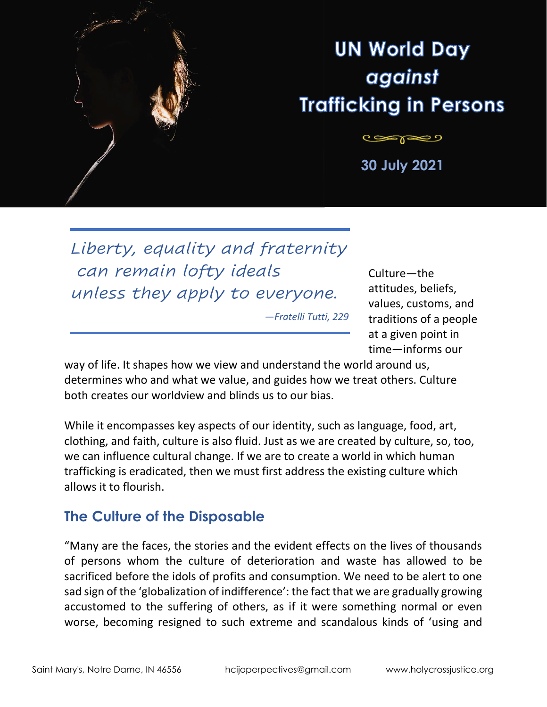

# **UN World Day** against **Trafficking in Persons**

تصهيب **30 July 2021**

*Liberty, equality and fraternity can remain lofty ideals unless they apply to everyone.*

*—Fratelli Tutti, 229*

Culture—the attitudes, beliefs, values, customs, and traditions of a people at a given point in time—informs our

way of life. It shapes how we view and understand the world around us, determines who and what we value, and guides how we treat others. Culture both creates our worldview and blinds us to our bias.

While it encompasses key aspects of our identity, such as language, food, art, clothing, and faith, culture is also fluid. Just as we are created by culture, so, too, we can influence cultural change. If we are to create a world in which human trafficking is eradicated, then we must first address the existing culture which allows it to flourish.

#### **The Culture of the Disposable**

"Many are the faces, the stories and the evident effects on the lives of thousands of persons whom the culture of deterioration and waste has allowed to be sacrificed before the idols of profits and consumption. We need to be alert to one sad sign of the 'globalization of indifference': the fact that we are gradually growing accustomed to the suffering of others, as if it were something normal or even worse, becoming resigned to such extreme and scandalous kinds of 'using and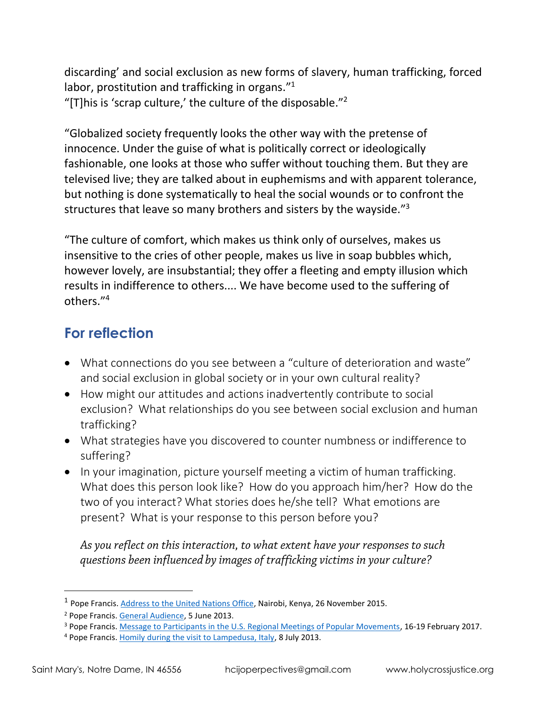discarding' and social exclusion as new forms of slavery, human trafficking, forced labor, prostitution and trafficking in organs."<sup>1</sup> "[T] his is 'scrap culture,' the culture of the disposable."<sup>2</sup>

"Globalized society frequently looks the other way with the pretense of innocence. Under the guise of what is politically correct or ideologically fashionable, one looks at those who suffer without touching them. But they are televised live; they are talked about in euphemisms and with apparent tolerance, but nothing is done systematically to heal the social wounds or to confront the structures that leave so many brothers and sisters by the wayside."<sup>3</sup>

"The culture of comfort, which makes us think only of ourselves, makes us insensitive to the cries of other people, makes us live in soap bubbles which, however lovely, are insubstantial; they offer a fleeting and empty illusion which results in indifference to others.... We have become used to the suffering of others." 4

# **For reflection**

- What connections do you see between a "culture of deterioration and waste" and social exclusion in global society or in your own cultural reality?
- How might our attitudes and actions inadvertently contribute to social exclusion? What relationships do you see between social exclusion and human trafficking?
- What strategies have you discovered to counter numbness or indifference to suffering?
- In your imagination, picture yourself meeting a victim of human trafficking. What does this person look like? How do you approach him/her? How do the two of you interact? What stories does he/she tell? What emotions are present? What is your response to this person before you?

As you reflect on this interaction, to what extent have your responses to such questions been influenced by images of trafficking victims in your culture?

<sup>&</sup>lt;sup>1</sup> Pope Francis. [Address to the United Nations Office,](http://w2.vatican.va/content/francesco/en/speeches/2015/november/documents/papa-francesco_20151126_kenya-unon.html) Nairobi, Kenya, 26 November 2015.

<sup>2</sup> Pope Francis. [General Audience,](https://w2.vatican.va/content/francesco/en/audiences/2013/documents/papa-francesco_20130605_udienza-generale.html) 5 June 2013.

<sup>&</sup>lt;sup>3</sup> Pope Francis. [Message to Participants in the U.S. Regional Meetings of Popular Movements,](http://popularmovements.org/wp-content/uploads/2017/02/POPE-FRANCIS-MESSAGE-TO-USWMPM.pdf) 16-19 February 2017.

<sup>&</sup>lt;sup>4</sup> Pope Francis. [Homily during the visit to Lampedusa, Italy,](https://w2.vatican.va/content/francesco/en/homilies/2013/documents/papa-francesco_20130708_omelia-lampedusa.html) 8 July 2013.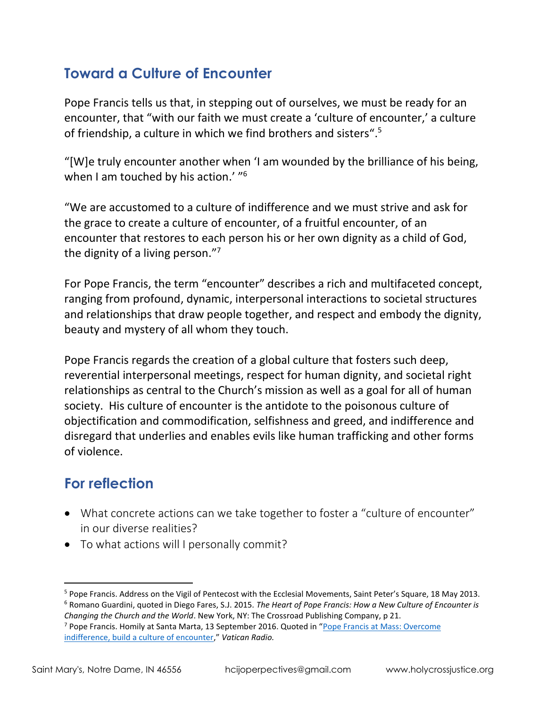## **Toward a Culture of Encounter**

Pope Francis tells us that, in stepping out of ourselves, we must be ready for an encounter, that "with our faith we must create a 'culture of encounter,' a culture of friendship, a culture in which we find brothers and sisters".<sup>5</sup>

"[W]e truly encounter another when 'I am wounded by the brilliance of his being, when I am touched by his action.' "<sup>6</sup>

"We are accustomed to a culture of indifference and we must strive and ask for the grace to create a culture of encounter, of a fruitful encounter, of an encounter that restores to each person his or her own dignity as a child of God, the dignity of a living person."<sup>7</sup>

For Pope Francis, the term "encounter" describes a rich and multifaceted concept, ranging from profound, dynamic, interpersonal interactions to societal structures and relationships that draw people together, and respect and embody the dignity, beauty and mystery of all whom they touch.

Pope Francis regards the creation of a global culture that fosters such deep, reverential interpersonal meetings, respect for human dignity, and societal right relationships as central to the Church's mission as well as a goal for all of human society. His culture of encounter is the antidote to the poisonous culture of objectification and commodification, selfishness and greed, and indifference and disregard that underlies and enables evils like human trafficking and other forms of violence.

# **For reflection**

- What concrete actions can we take together to foster a "culture of encounter" in our diverse realities?
- To what actions will I personally commit?

*Changing the Church and the World*. New York, NY: The Crossroad Publishing Company, p 21.

<sup>5</sup> Pope Francis. Address on the Vigil of Pentecost with the Ecclesial Movements, Saint Peter's Square, 18 May 2013. <sup>6</sup> Romano Guardini, quoted in Diego Fares, S.J. 2015. *The Heart of Pope Francis: How a New Culture of Encounter is* 

<sup>7</sup> Pope Francis. Homily at Santa Marta, 13 September 2016. Quoted in "[Pope Francis at Mass: Overcome](http://en.radiovaticana.va/news/2016/09/13/pope_overcome_indifference,_build_a_culture_of_encounter/1257732)  [indifference, build a culture of encounter](http://en.radiovaticana.va/news/2016/09/13/pope_overcome_indifference,_build_a_culture_of_encounter/1257732)," *Vatican Radio.*